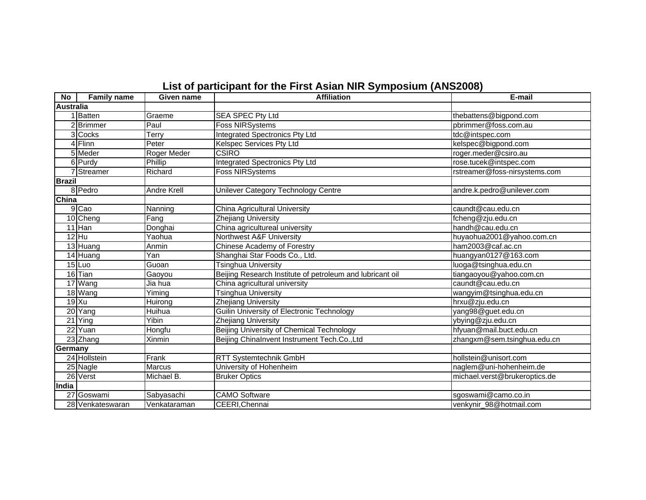| No               | <b>Family name</b> | Given name         | <b>Affiliation</b>                                        | E-mail                        |
|------------------|--------------------|--------------------|-----------------------------------------------------------|-------------------------------|
| <b>Australia</b> |                    |                    |                                                           |                               |
|                  | Batten             | Graeme             | SEA SPEC Pty Ltd                                          | thebattens@bigpond.com        |
|                  | 2 Brimmer          | Paul               | <b>Foss NIRSystems</b>                                    | pbrimmer@foss.com.au          |
|                  | 3 Cocks            | Terry              | <b>Integrated Spectronics Pty Ltd</b>                     | tdc@intspec.com               |
|                  | 4 Flinn            | Peter              | Kelspec Services Pty Ltd                                  | kelspec@bigpond.com           |
|                  | $5$ Meder          | Roger Meder        | CSIRO                                                     | roger.meder@csiro.au          |
|                  | 6 Purdy            | Phillip            | Integrated Spectronics Pty Ltd                            | rose.tucek@intspec.com        |
|                  | Streamer           | Richard            | <b>Foss NIRSystems</b>                                    | rstreamer@foss-nirsystems.com |
| <b>Brazil</b>    |                    |                    |                                                           |                               |
|                  | 8 Pedro            | <b>Andre Krell</b> | Unilever Category Technology Centre                       | andre.k.pedro@unilever.com    |
| China            |                    |                    |                                                           |                               |
|                  | 9 Cao              | Nanning            | China Agricultural University                             | caundt@cau.edu.cn             |
|                  | 10 Cheng           | Fang               | Zhejiang University                                       | fcheng@zju.edu.cn             |
|                  | 11 Han             | Donghai            | China agricultureal university                            | handh@cau.edu.cn              |
|                  | $12$ Hu            | Yaohua             | Northwest A&F University                                  | huyaohua2001@yahoo.com.cn     |
|                  | 13 Huang           | Anmin              | Chinese Academy of Forestry                               | ham2003@caf.ac.cn             |
|                  | 14 Huang           | Yan                | Shanghai Star Foods Co., Ltd.                             | huangyan0127@163.com          |
|                  | $15$ Luo           | Guoan              | <b>Tsinghua University</b>                                | luoga@tsinghua.edu.cn         |
|                  | 16 Tian            | Gaoyou             | Beijing Research Institute of petroleum and lubricant oil | tiangaoyou@yahoo.com.cn       |
|                  | 17 Wang            | Jia hua            | China agricultural university                             | caundt@cau.edu.cn             |
|                  | 18 Wang            | Yiming             | Tsinghua University                                       | wangyim@tsinghua.edu.cn       |
|                  | $19$ Xu            | Huirong            | Zhejiang University                                       | hrxu@zju.edu.cn               |
|                  | 20 Yang            | Huihua             | Guilin University of Electronic Technology                | yang98@guet.edu.cn            |
|                  | $21$ Ying          | Yibin              | Zhejiang University                                       | ybying@zju.edu.cn             |
|                  | 22 Yuan            | Hongfu             | Beijing University of Chemical Technology                 | hfyuan@mail.buct.edu.cn       |
|                  | 23 Zhang           | Xinmin             | Beijing Chinalnvent Instrument Tech.Co.,Ltd               | zhangxm@sem.tsinghua.edu.cn   |
| Germany          |                    |                    |                                                           |                               |
|                  | 24 Hollstein       | Frank              | RTT Systemtechnik GmbH                                    | hollstein@unisort.com         |
|                  | $25$ Nagle         | <b>Marcus</b>      | University of Hohenheim                                   | naglem@uni-hohenheim.de       |
|                  | 26 Verst           | Michael B.         | <b>Bruker Optics</b>                                      | michael.verst@brukeroptics.de |
| India            |                    |                    |                                                           |                               |
|                  | 27 Goswami         | Sabyasachi         | <b>CAMO Software</b>                                      | sgoswami@camo.co.in           |
|                  | 28 Venkateswaran   | Venkataraman       | CEERI, Chennai                                            | venkynir_98@hotmail.com       |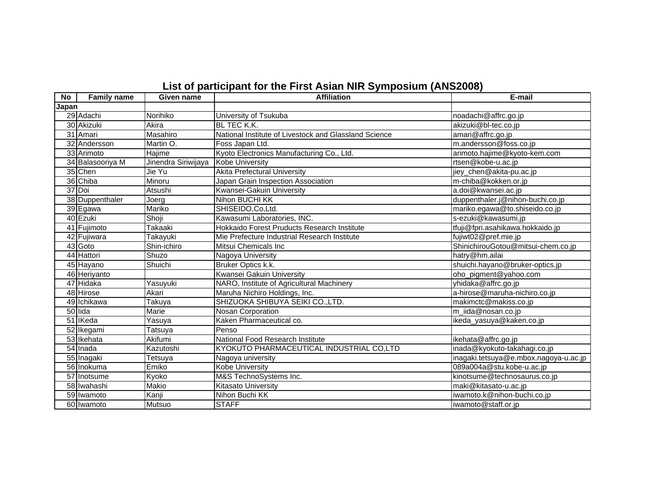| No    | <b>Family name</b> | Given name          | <b>Affiliation</b>                                    | E-mail                                |
|-------|--------------------|---------------------|-------------------------------------------------------|---------------------------------------|
| Japan |                    |                     |                                                       |                                       |
|       | 29 Adachi          | Norihiko            | University of Tsukuba                                 | noadachi@affrc.go.jp                  |
|       | 30 Akizuki         | Akira               | <b>BL TEC K.K.</b>                                    | akizuki@bl-tec.co.jp                  |
|       | 31 Amari           | Masahiro            | National Institute of Livestock and Glassland Science | amari@affrc.go.jp                     |
|       | 32 Andersson       | Martin O.           | Foss Japan Ltd.                                       | m.andersson@foss.co.jp                |
|       | 33 Arimoto         | Hajime              | Kyoto Electronics Manufacturing Co., Ltd.             | arimoto.hajime@kyoto-kem.com          |
|       | 34 Balasooriya M   | Jinendra Siriwijaya | <b>Kobe University</b>                                | rtsen@kobe-u.ac.jp                    |
|       | 35 Chen            | Jie Yu              | <b>Akita Prefectural University</b>                   | jiey_chen@akita-pu.ac.jp              |
|       | 36 Chiba           | Minoru              | Japan Grain Inspection Association                    | m-chiba@kokken.or.jp                  |
|       | 37 Doi             | Atsushi             | Kwansei-Gakuin University                             | a.doi@kwansei.ac.jp                   |
|       | 38 Duppenthaler    | Joerg               | Nihon BUCHI KK                                        | duppenthaler.j@nihon-buchi.co.jp      |
|       | 39 Egawa           | Mariko              | SHISEIDO, Co, Ltd.                                    | mariko.egawa@to.shiseido.co.jp        |
|       | 40 Ezuki           | Shoji               | Kawasumi Laboratories, INC.                           | s-ezuki@kawasumi.jp                   |
|       | 41 Fujimoto        | Takaaki             | Hokkaido Forest Pruducts Research Institute           | tfuji@fpri.asahikawa.hokkaido.jp      |
|       | 42 Fujiwara        | Takayuki            | Mie Prefecture Industrial Research Institute          | fujiwt02@pref.mie.jp                  |
|       | 43 Goto            | Shin-ichiro         | Mitsui Chemicals Inc                                  | ShinichirouGotou@mitsui-chem.co.jp    |
|       | 44 Hattori         | Shuzo               | Nagoya University                                     | hatry@hm.ailai                        |
|       | 45 Hayano          | Shuichi             | Bruker Optics k.k.                                    | shuichi.hayano@bruker-optics.jp       |
|       | 46 Heriyanto       |                     | Kwansei Gakuin University                             | oho_pigment@yahoo.com                 |
|       | 47 Hidaka          | Yasuyuki            | NARO, Institute of Agricultural Machinery             | yhidaka@affrc.go.jp                   |
|       | 48 Hirose          | Akari               | Maruha Nichiro Holdings, Inc.                         | a-hirose@maruha-nichiro.co.jp         |
|       | 49 Ichikawa        | Takuya              | SHIZUOKA SHIBUYA SEIKI CO.,LTD.                       | makimctc@makiss.co.jp                 |
|       | 50 lida            | Marie               | Nosan Corporation                                     | m_iida@nosan.co.jp                    |
|       | 51 IKeda           | Yasuya              | Kaken Pharmaceutical co.                              | ikeda_yasuya@kaken.co.jp              |
|       | 52 Ikegami         | Tatsuya             | Penso                                                 |                                       |
|       | 53 Ikehata         | Akifumi             | National Food Research Institute                      | ikehata@affrc.go.jp                   |
|       | 54 Inada           | Kazutoshi           | KYOKUTO PHARMACEUTICAL INDUSTRIAL CO,LTD              | inada@kyokuto-takahagi.co.jp          |
|       | 55 Inagaki         | Tetsuya             | Nagoya university                                     | inagaki.tetsuya@e.mbox.nagoya-u.ac.jp |
|       | 56 Inokuma         | Emiko               | <b>Kobe University</b>                                | 089a004a@stu.kobe-u.ac.jp             |
|       | 57 Inotsume        | Kyoko               | M&S TechnoSystems Inc.                                | kinotsume@technosaurus.co.jp          |
|       | 58 Iwahashi        | Makio               | Kitasato Universitv                                   | maki@kitasato-u.ac.jp                 |
|       | 59 Iwamoto         | Kanji               | Nihon Buchi KK                                        | iwamoto.k@nihon-buchi.co.jp           |
|       | 60 Iwamoto         | Mutsuo              | <b>STAFF</b>                                          | iwamoto@staff.or.jp                   |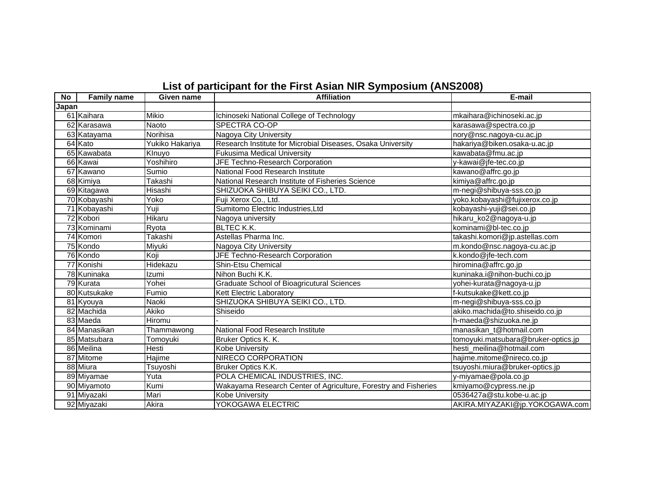| No    | <b>Family name</b> | Given name      | <b>Affiliation</b>                                              | E-mail                              |
|-------|--------------------|-----------------|-----------------------------------------------------------------|-------------------------------------|
| Japan |                    |                 |                                                                 |                                     |
|       | 61 Kaihara         | Mikio           | Ichinoseki National College of Technology                       | mkaihara@ichinoseki.ac.jp           |
|       | 62 Karasawa        | <b>Naoto</b>    | SPECTRA CO-OP                                                   | karasawa@spectra.co.jp              |
|       | 63 Katayama        | Norihisa        | Nagoya City University                                          | nory@nsc.nagoya-cu.ac.jp            |
|       | 64 Kato            | Yukiko Hakariya | Research Institute for Microbial Diseases, Osaka University     | hakariya@biken.osaka-u.ac.jp        |
|       | 65 Kawabata        | Klnuyo          | <b>Fukusima Medical University</b>                              | kawabata@fmu.ac.jp                  |
|       | 66 Kawai           | Yoshihiro       | JFE Techno-Research Corporation                                 | y-kawai@jfe-tec.co.jp               |
|       | 67 Kawano          | Sumio           | National Food Research Institute                                | kawano@affrc.go.jp                  |
|       | 68 Kimiya          | Takashi         | National Research Institute of Fisheries Science                | kimiya@affrc.go.jp                  |
|       | 69 Kitagawa        | Hisashi         | SHIZUOKA SHIBUYA SEIKI CO., LTD.                                | m-negi@shibuya-sss.co.jp            |
|       | 70 Kobayashi       | Yoko            | Fuji Xerox Co., Ltd.                                            | yoko.kobayashi@fujixerox.co.jp      |
|       | 71 Kobayashi       | Yuji            | Sumitomo Electric Industries, Ltd                               | kobayashi-yuji@sei.co.jp            |
|       | 72 Kobori          | Hikaru          | Nagoya university                                               | hikaru_ko2@nagoya-u.jp              |
|       | 73 Kominami        | Ryota           | <b>BLTEC K.K.</b>                                               | kominami@bl-tec.co.jp               |
|       | 74 Komori          | Takashi         | Astellas Pharma Inc.                                            | takashi.komori@jp.astellas.com      |
|       | 75 Kondo           | Miyuki          | Nagoya City University                                          | m.kondo@nsc.nagoya-cu.ac.jp         |
|       | 76 Kondo           | Koji            | JFE Techno-Research Corporation                                 | k.kondo@jfe-tech.com                |
|       | 77 Konishi         | Hidekazu        | Shin-Etsu Chemical                                              | hiromina@affrc.go.jp                |
|       | 78 Kuninaka        | Izumi           | Nihon Buchi K.K.                                                | kuninaka.i@nihon-buchi.co.jp        |
|       | 79 Kurata          | Yohei           | <b>Graduate School of Bioagricutural Sciences</b>               | yohei-kurata@nagoya-u.jp            |
|       | 80 Kutsukake       | Fumio           | Kett Electric Laboratory                                        | f-kutsukake@kett.co.jp              |
|       | 81 Kyouya          | <b>Naoki</b>    | SHIZUOKA SHIBUYA SEIKI CO., LTD.                                | m-negi@shibuya-sss.co.jp            |
|       | 82 Machida         | Akiko           | Shiseido                                                        | akiko.machida@to.shiseido.co.jp     |
|       | 83 Maeda           | Hiromu          |                                                                 | h-maeda@shizuoka.ne.jp              |
|       | 84 Manasikan       | Thammawong      | National Food Research Institute                                | manasikan_t@hotmail.com             |
|       | 85 Matsubara       | Tomoyuki        | Bruker Optics K. K.                                             | tomoyuki.matsubara@bruker-optics.jp |
|       | 86 Meilina         | Hesti           | <b>Kobe University</b>                                          | hesti_meilina@hotmail.com           |
|       | 87 Mitome          | Hajime          | NIRECO CORPORATION                                              | hajime.mitome@nireco.co.jp          |
|       | 88 Miura           | Tsuyoshi        | Bruker Optics K.K.                                              | tsuyoshi.miura@bruker-optics.jp     |
|       | 89 Miyamae         | Yuta            | POLA CHEMICAL INDUSTRIES, INC.                                  | y-miyamae@pola.co.jp                |
|       | 90 Miyamoto        | Kumi            | Wakayama Research Center of Agriculture, Forestry and Fisheries | kmiyamo@cypress.ne.jp               |
|       | 91 Miyazaki        | Mari            | Kobe University                                                 | 0536427a@stu.kobe-u.ac.jp           |
|       | 92 Miyazaki        | Akira           | YOKOGAWA ELECTRIC                                               | AKIRA.MIYAZAKI@jp.YOKOGAWA.com      |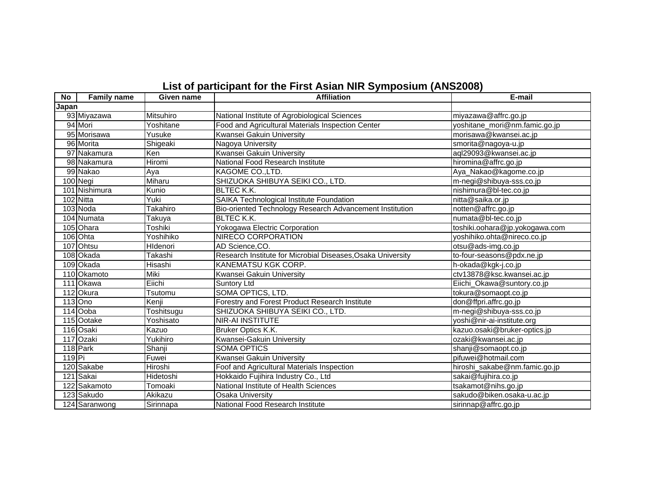| <b>No</b>  | <b>Family name</b> | Given name     | <b>Affiliation</b>                                          | E-mail                         |
|------------|--------------------|----------------|-------------------------------------------------------------|--------------------------------|
| Japan      |                    |                |                                                             |                                |
|            | 93 Miyazawa        | Mitsuhiro      | National Institute of Agrobiological Sciences               | miyazawa@affrc.go.jp           |
|            | 94 Mori            | Yoshitane      | Food and Agricultural Materials Inspection Center           | yoshitane_mori@nm.famic.go.jp  |
|            | 95 Morisawa        | Yusuke         | Kwansei Gakuin University                                   | morisawa@kwansei.ac.jp         |
|            | 96 Morita          | Shigeaki       | Nagoya University                                           | smorita@nagoya-u.jp            |
|            | 97 Nakamura        | Ken            | Kwansei Gakuin University                                   | aql29093@kwansei.ac.jp         |
|            | 98 Nakamura        | Hiromi         | National Food Research Institute                            | hiromina@affrc.go.jp           |
|            | 99 Nakao           | Aya            | KAGOME CO., LTD.                                            | Aya_Nakao@kagome.co.jp         |
|            | 100 Negi           | Miharu         | SHIZUOKA SHIBUYA SEIKI CO., LTD.                            | m-negi@shibuya-sss.co.jp       |
|            | 101 Nishimura      | Kunio          | <b>BLTEC K.K.</b>                                           | nishimura@bl-tec.co.jp         |
|            | 102 Nitta          | Yuki           | SAIKA Technological Institute Foundation                    | nitta@saika.or.jp              |
|            | 103 Noda           | Takahiro       | Bio-oriented Technology Research Advancement Institution    | notten@affrc.go.jp             |
|            | 104 Numata         | Takuya         | <b>BLTEC K.K.</b>                                           | numata@bl-tec.co.jp            |
|            | 105 Ohara          | <b>Toshiki</b> | Yokogawa Electric Corporation                               | toshiki.oohara@jp.yokogawa.com |
|            | 106 Ohta           | Yoshihiko      | <b>NIRECO CORPORATION</b>                                   | yoshihiko.ohta@nireco.co.jp    |
|            | 107 Ohtsu          | HIdenori       | AD Science, CO.                                             | otsu@ads-img.co.jp             |
|            | 108 Okada          | Takashi        | Research Institute for Microbial Diseases, Osaka University | to-four-seasons@pdx.ne.jp      |
|            | 109 Okada          | Hisashi        | <b>KANEMATSU KGK CORP.</b>                                  | h-okada@kgk-j.co.jp            |
|            | 110 Okamoto        | Miki           | Kwansei Gakuin University                                   | ctv13878@ksc.kwansei.ac.jp     |
|            | 111 Okawa          | Eiichi         | <b>Suntory Ltd</b>                                          | Eiichi_Okawa@suntory.co.jp     |
|            | 112 Okura          | Tsutomu        | SOMA OPTICS, LTD.                                           | tokura@somaopt.co.jp           |
|            | 113 Ono            | Kenji          | Forestry and Forest Product Research Institute              | don@ffpri.affrc.go.jp          |
|            | 114 Ooba           | Toshitsugu     | SHIZUOKA SHIBUYA SEIKI CO., LTD.                            | m-negi@shibuya-sss.co.jp       |
|            | 115 Ootake         | Yoshisato      | <b>NIR-AI INSTITUTE</b>                                     | yoshi@nir-ai-institute.org     |
|            | 116 Osaki          | Kazuo          | Bruker Optics K.K.                                          | kazuo.osaki@bruker-optics.jp   |
|            | 117 Ozaki          | Yukihiro       | Kwansei-Gakuin University                                   | ozaki@kwansei.ac.jp            |
|            | 118 Park           | Shanji         | <b>SOMA OPTICS</b>                                          | shanji@somaopt.co.jp           |
| $119$ $Pi$ |                    | Fuwei          | Kwansei Gakuin University                                   | pifuwei@hotmail.com            |
|            | 120 Sakabe         | Hiroshi        | Foof and Agricultural Materials Inspection                  | hiroshi_sakabe@nm.famic.go.jp  |
|            | 121 Sakai          | Hidetoshi      | Hokkaido Fujihira Industry Co., Ltd                         | sakai@fujihira.co.jp           |
|            | 122 Sakamoto       | Tomoaki        | National Institute of Health Sciences                       | tsakamot@nihs.go.jp            |
|            | 123 Sakudo         | Akikazu        | <b>Osaka University</b>                                     | sakudo@biken.osaka-u.ac.jp     |
|            | 124 Saranwong      | Sirinnapa      | National Food Research Institute                            | sirinnap@affrc.go.jp           |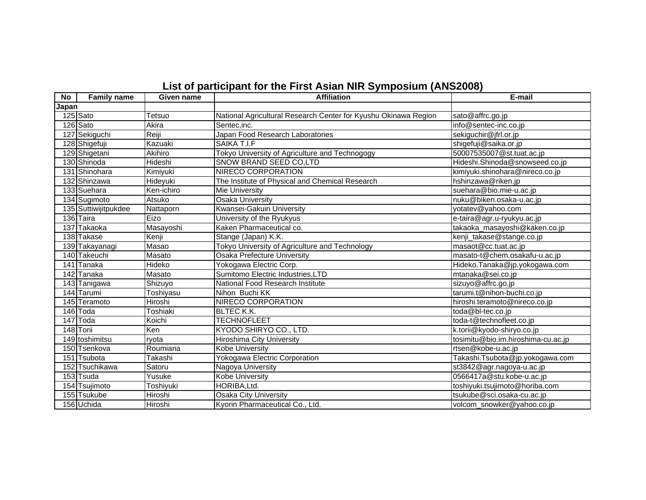| No    | <b>Family name</b>   | Given name       | <b>Affiliation</b>                                              | E-mail                             |
|-------|----------------------|------------------|-----------------------------------------------------------------|------------------------------------|
| Japan |                      |                  |                                                                 |                                    |
|       | 125 Sato             | Tetsuo           | National Agricultural Research Center for Kyushu Okinawa Region | sato@affrc.go.jp                   |
|       | 126 Sato             | Akira            | Sentec, inc.                                                    | info@sentec-inc.co.jp              |
|       | 127 Sekiguchi        | Reiji            | Japan Food Research Laboratories                                | sekiguchir@jfrl.or.jp              |
|       | 128 Shigefuji        | Kazuaki          | SAIKA T.I.F                                                     | shigefuji@saika.or.jp              |
|       | 129 Shigetani        | Akihiro          | Tokyo University of Agriculture and Technogogy                  | 50007535007@st.tuat.ac.jp          |
|       | 130 Shinoda          | Hideshi          | SNOW BRAND SEED CO,LTD                                          | Hideshi.Shinoda@snowseed.co.jp     |
|       | 131 Shinohara        | Kimiyuki         | <b>NIRECO CORPORATION</b>                                       | kimiyuki.shinohara@nireco.co.jp    |
|       | 132 Shinzawa         | Hideyuki         | The Institute of Physical and Chemical Research                 | hshinzawa@riken.jp                 |
|       | 133 Suehara          | Ken-ichiro       | <b>Mie University</b>                                           | suehara@bio.mie-u.ac.jp            |
|       | 134 Sugimoto         | Atsuko           | <b>Osaka University</b>                                         | nuku@biken.osaka-u.ac.jp           |
|       | 135 Suttiwijitpukdee | Nattaporn        | Kwansei-Gakuin University                                       | yotatev@yahoo.com                  |
|       | 136 Taira            | Eizo             | University of the Ryukyus                                       | e-taira@agr.u-ryukyu.ac.jp         |
|       | 137 Takaoka          | Masayoshi        | Kaken Pharmaceutical co.                                        | takaoka_masayoshi@kaken.co.jp      |
|       | 138 Takase           | Kenji            | Stange (Japan) K.K.                                             | kenji_takase@stange.co.jp          |
|       | 139 Takayanagi       | Masao            | Tokyo University of Agriculture and Technology                  | masaot@cc.tuat.ac.jp               |
|       | 140 Takeuchi         | Masato           | Osaka Prefecture University                                     | masato-t@chem.osakafu-u.ac.jp      |
|       | 141 Tanaka           | Hideko           | Yokogawa Electric Corp.                                         | Hideko.Tanaka@jp.yokogawa.com      |
|       | 142 Tanaka           | Masato           | Sumitomo Electric Industries, LTD                               | mtanaka@sei.co.jp                  |
|       | 143 Tanigawa         | Shizuyo          | National Food Research Institute                                | sizuyo@affrc.go.jp                 |
|       | 144 Tarumi           | <b>Toshiyasu</b> | Nihon Buchi KK                                                  | tarumi.t@nihon-buchi.co.jp         |
|       | 145 Teramoto         | Hiroshi          | NIRECO CORPORATION                                              | hiroshi.teramoto@nireco.co.jp      |
|       | 146 Toda             | Toshiaki         | <b>BLTEC K.K.</b>                                               | toda@bl-tec.co.jp                  |
|       | 147 Toda             | Koichi           | <b>TECHNOFLEET</b>                                              | toda-t@technofleet.co.jp           |
|       | 148 Torii            | Ken              | KYODO SHIRYO CO., LTD.                                          | k.torii@kyodo-shiryo.co.jp         |
|       | 149 toshimitsu       | rvota            | Hiroshima City University                                       | tosimitu@bio.im.hiroshima-cu.ac.jp |
|       | 150 Tsenkova         | Roumiana         | <b>Kobe University</b>                                          | rtsen@kobe-u.ac.jp                 |
|       | 151 Tsubota          | Takashi          | <b>Yokogawa Electric Corporation</b>                            | Takashi.Tsubota@jp.yokogawa.com    |
|       | 152 Tsuchikawa       | Satoru           | Nagoya University                                               | st3842@agr.nagoya-u.ac.jp          |
|       | 153 Tsuda            | Yusuke           | <b>Kobe University</b>                                          | 0566417a@stu.kobe-u.ac.jp          |
|       | 154 Tsujimoto        | Toshiyuki        | HORIBA, Ltd.                                                    | toshiyuki.tsujimoto@horiba.com     |
|       | 155 Tsukube          | Hiroshi          | <b>Osaka City University</b>                                    | tsukube@sci.osaka-cu.ac.jp         |
|       | 156 Uchida           | Hiroshi          | Kyorin Pharmaceutical Co., Ltd.                                 | volcom_snowker@yahoo.co.jp         |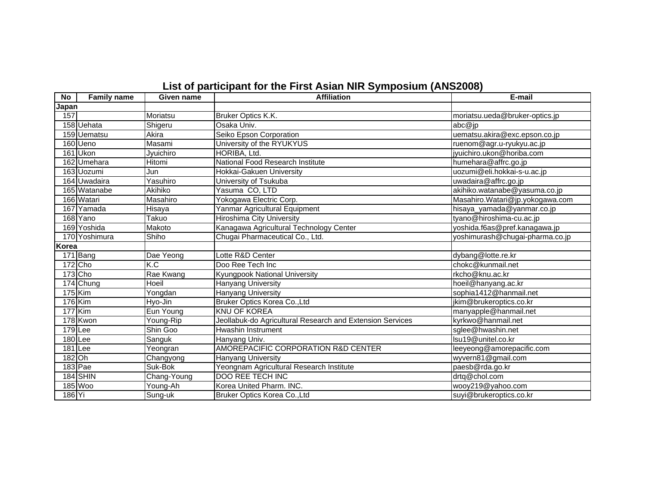| <b>No</b> | <b>Family name</b> | Given name  | <b>Affiliation</b>                                        | E-mail                          |
|-----------|--------------------|-------------|-----------------------------------------------------------|---------------------------------|
| Japan     |                    |             |                                                           |                                 |
| 157       |                    | Moriatsu    | Bruker Optics K.K.                                        | moriatsu.ueda@bruker-optics.jp  |
|           | 158 Uehata         | Shigeru     | Osaka Univ.                                               | abc@jp                          |
|           | 159 Uematsu        | Akira       | Seiko Epson Corporation                                   | uematsu.akira@exc.epson.co.jp   |
|           | 160 Ueno           | Masami      | University of the RYUKYUS                                 | ruenom@agr.u-ryukyu.ac.jp       |
|           | 161 Ukon           | Jyuichiro   | HORIBA, Ltd.                                              | jyuichiro.ukon@horiba.com       |
|           | 162 Umehara        | Hitomi      | National Food Research Institute                          | humehara@affrc.go.jp            |
|           | 163 Uozumi         | Jun         | Hokkai-Gakuen University                                  | uozumi@eli.hokkai-s-u.ac.jp     |
|           | 164 Uwadaira       | Yasuhiro    | University of Tsukuba                                     | uwadaira@affrc.go.jp            |
|           | 165 Watanabe       | Akihiko     | Yasuma CO, LTD                                            | akihiko.watanabe@yasuma.co.jp   |
|           | 166 Watari         | Masahiro    | Yokogawa Electric Corp.                                   | Masahiro.Watari@jp.yokogawa.com |
|           | 167 Yamada         | Hisaya      | Yanmar Agricultural Equipment                             | hisaya_yamada@yanmar.co.jp      |
|           | 168 Yano           | Takuo       | <b>Hiroshima City University</b>                          | tyano@hiroshima-cu.ac.jp        |
|           | 169 Yoshida        | Makoto      | Kanagawa Agricultural Technology Center                   | yoshida.f6as@pref.kanagawa.jp   |
|           | 170 Yoshimura      | Shiho       | Chugai Pharmaceutical Co., Ltd.                           | yoshimurash@chugai-pharma.co.jp |
| Korea     |                    |             |                                                           |                                 |
|           | 171 Bang           | Dae Yeong   | Lotte R&D Center                                          | dybang@lotte.re.kr              |
|           | $172$ Cho          | K.C         | Doo Ree Tech Inc                                          | chokc@kunmail.net               |
|           | 173 Cho            | Rae Kwang   | Kyungpook National University                             | rkcho@knu.ac.kr                 |
|           | 174 Chung          | Hoeil       | Hanyang University                                        | hoeil@hanyang.ac.kr             |
|           | $175$ Kim          | Yongdan     | Hanyang University                                        | sophia1412@hanmail.net          |
| 176 Kim   |                    | Hyo-Jin     | Bruker Optics Korea Co., Ltd                              | jkim@brukeroptics.co.kr         |
|           | <b>177 Kim</b>     | Eun Young   | <b>KNU OF KOREA</b>                                       | manyapple@hanmail.net           |
|           | 178 Kwon           | Young-Rip   | Jeollabuk-do Agricultural Research and Extension Services | kyrkwo@hanmail.net              |
| 179 Lee   |                    | Shin Goo    | Hwashin Instrument                                        | sglee@hwashin.net               |
|           | 180 Lee            | Sanguk      | Hanyang Univ.                                             | Isu19@unitel.co.kr              |
|           | 181 Lee            | Yeongran    | AMOREPACIFIC CORPORATION R&D CENTER                       | leeyeong@amorepacific.com       |
| 182 Oh    |                    | Changyong   | Hanyang University                                        | wyvern81@gmail.com              |
|           | 183 Pae            | Suk-Bok     | Yeongnam Agricultural Research Institute                  | paesb@rda.go.kr                 |
|           | 184 SHIN           | Chang-Young | <b>DOO REE TECH INC</b>                                   | drtq@chol.com                   |
|           | 185 Woo            | Young-Ah    | Korea United Pharm. INC.                                  | wooy219@yahoo.com               |
| 186 Yi    |                    | Sung-uk     | Bruker Optics Korea Co., Ltd                              | suyi@brukeroptics.co.kr         |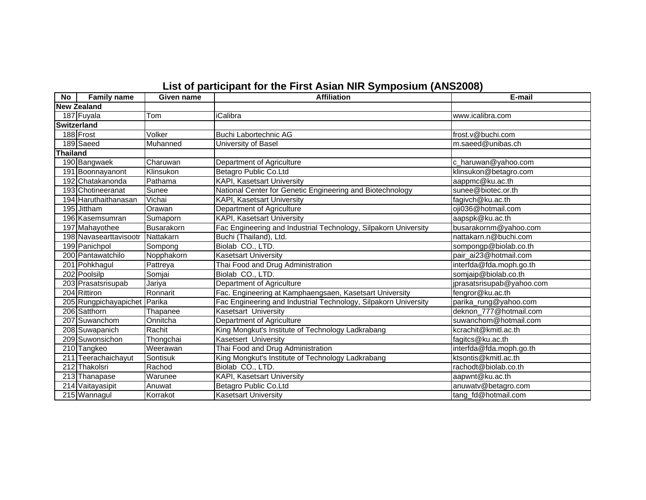| No              | <b>Family name</b>     | Given name | <b>Affiliation</b>                                              | E-mail                    |
|-----------------|------------------------|------------|-----------------------------------------------------------------|---------------------------|
|                 | <b>New Zealand</b>     |            |                                                                 |                           |
|                 | 187 Fuyala             | Tom        | <b>iCalibra</b>                                                 | www.icalibra.com          |
|                 | <b>Switzerland</b>     |            |                                                                 |                           |
|                 | 188 Frost              | Volker     | Buchi Labortechnic AG                                           | frost.v@buchi.com         |
|                 | 189 Saeed              | Muhanned   | University of Basel                                             | m.saeed@unibas.ch         |
| <b>Thailand</b> |                        |            |                                                                 |                           |
|                 | 190 Bangwaek           | Charuwan   | Department of Agriculture                                       | c_haruwan@yahoo.com       |
|                 | 191 Boonnayanont       | Klinsukon  | Betagro Public Co.Ltd                                           | klinsukon@betagro.com     |
|                 | 192 Chatakanonda       | Pathama    | <b>KAPI, Kasetsart University</b>                               | aappmc@ku.ac.th           |
|                 | 193 Chotineeranat      | Sunee      | National Center for Genetic Engineering and Biotechnology       | sunee@biotec.or.th        |
|                 | 194 Haruthaithanasan   | Vichai     | <b>KAPI, Kasetsart University</b>                               | fagivch@ku.ac.th          |
|                 | 195 Jittham            | Orawan     | Department of Agriculture                                       | oji036@hotmail.com        |
|                 | 196 Kasemsumran        | Sumaporn   | <b>KAPI, Kasetsart University</b>                               | aapspk@ku.ac.th           |
|                 | 197 Mahayothee         | Busarakorn | Fac Engineering and Industrial Technology, Silpakorn University | busarakornm@yahoo.com     |
|                 | 198 Navasearttavisootr | Nattakarn  | Buchi (Thailand), Ltd.                                          | nattakarn.n@buchi.com     |
|                 | 199 Panichpol          | Sompong    | Biolab CO., LTD.                                                | sompongp@biolab.co.th     |
|                 | 200 Pantawatchilo      | Nopphakorn | <b>Kasetsart University</b>                                     | pair_ai23@hotmail.com     |
|                 | 201 Pohkhagul          | Pattreya   | Thai Food and Drug Administration                               | interfda@fda.moph.go.th   |
|                 | 202 Poolsilp           | Somjai     | Biolab CO., LTD.                                                | somjaip@biolab.co.th      |
|                 | 203 Prasatsrisupab     | Jariya     | Department of Agriculture                                       | jprasatsrisupab@yahoo.com |
|                 | 204 Rittiron           | Ronnarit   | Fac. Engineering at Kamphaengsaen, Kasetsart University         | fengror@ku.ac.th          |
|                 | 205 Rungpichayapichet  | Parika     | Fac Engineering and Industrial Technology, Silpakorn University | parika_rung@yahoo.com     |
|                 | 206 Satthorn           | Thapanee   | Kasetsart University                                            | deknon_777@hotmail.com    |
|                 | 207 Suwanchom          | Onnitcha   | Department of Agriculture                                       | suwanchom@hotmail.com     |
|                 | 208 Suwapanich         | Rachit     | King Mongkut's Institute of Technology Ladkrabang               | kcrachit@kmitl.ac.th      |
|                 | 209 Suwonsichon        | Thongchai  | Kasetsert University                                            | fagitcs@ku.ac.th          |
|                 | 210 Tangkeo            | Weerawan   | Thai Food and Drug Administration                               | interfda@fda.moph.go.th   |
|                 | 211 Teerachaichayut    | Sontisuk   | King Mongkut's Institute of Technology Ladkrabang               | ktsontis@kmitl.ac.th      |
|                 | 212 Thakolsri          | Rachod     | Biolab CO., LTD.                                                | rachodt@biolab.co.th      |
|                 | 213 Thanapase          | Warunee    | KAPI, Kasetsart University                                      | aapwnt@ku.ac.th           |
|                 | 214 Vaitayasipit       | Anuwat     | Betagro Public Co.Ltd                                           | anuwatv@betagro.com       |
|                 | 215 Wannagul           | Korrakot   | <b>Kasetsart University</b>                                     | tang_fd@hotmail.com       |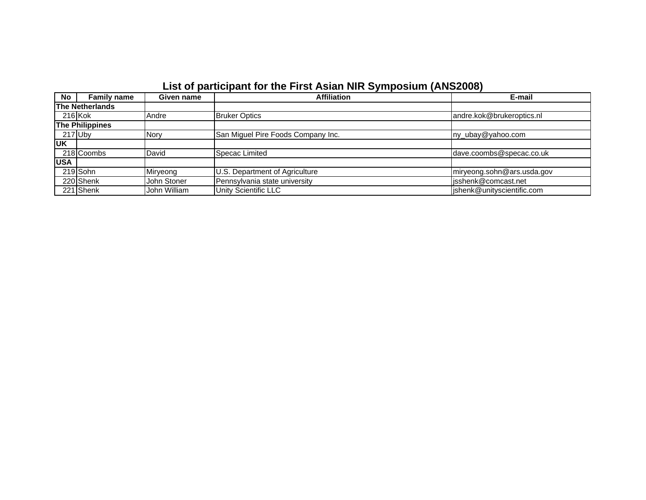| <b>No</b>  | <b>Family name</b>     | Given name   | <b>Affiliation</b>                 | E-mail                     |
|------------|------------------------|--------------|------------------------------------|----------------------------|
|            | <b>The Netherlands</b> |              |                                    |                            |
|            | $216$ Kok              | Andre        | <b>Bruker Optics</b>               | andre.kok@brukeroptics.nl  |
|            | <b>The Philippines</b> |              |                                    |                            |
|            | $217$ Uby              | <b>Nory</b>  | San Miguel Pire Foods Company Inc. | ny_ubay@yahoo.com          |
| <b>UK</b>  |                        |              |                                    |                            |
|            | 218 Coombs             | David        | Specac Limited                     | dave.coombs@specac.co.uk   |
| <b>USA</b> |                        |              |                                    |                            |
|            | 219 Sohn               | Miryeong     | U.S. Department of Agriculture     | miryeong.sohn@ars.usda.gov |
|            | 220 Shenk              | John Stoner  | Pennsylvania state university      | isshenk@comcast.net        |
|            | 221 Shenk              | John William | Unity Scientific LLC               | jshenk@unityscientific.com |